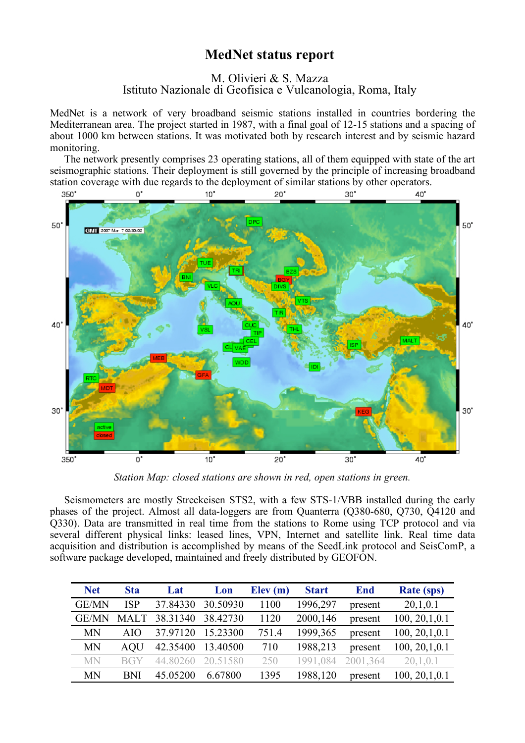## **MedNet status report**

## M. Olivieri & S. Mazza Istituto Nazionale di Geofisica e Vulcanologia, Roma, Italy

MedNet is a network of very broadband seismic stations installed in countries bordering the Mediterranean area. The project started in 1987, with a final goal of 12-15 stations and a spacing of about 1000 km between stations. It was motivated both by research interest and by seismic hazard monitoring.

The network presently comprises 23 operating stations, all of them equipped with state of the art seismographic stations. Their deployment is still governed by the principle of increasing broadband station coverage with due regards to the deployment of similar stations by other operators.



*Station Map: closed stations are shown in red, open stations in green.*

Seismometers are mostly Streckeisen STS2, with a few STS-1/VBB installed during the early phases of the project. Almost all data-loggers are from Quanterra (Q380-680, Q730, Q4120 and Q330). Data are transmitted in real time from the stations to Rome using TCP protocol and via several different physical links: leased lines, VPN, Internet and satellite link. Real time data acquisition and distribution is accomplished by means of the SeedLink protocol and SeisComP, a software package developed, maintained and freely distributed by GEOFON.

| <b>Net</b>   | <b>Sta</b>  | Lat      | Lon      | Elev(m) | <b>Start</b> | <b>End</b> | <b>Rate (sps)</b> |
|--------------|-------------|----------|----------|---------|--------------|------------|-------------------|
| GE/MN        | <b>ISP</b>  | 37.84330 | 30.50930 | 1100    | 1996,297     | present    | 20,1,0.1          |
| <b>GE/MN</b> | <b>MALT</b> | 38.31340 | 38.42730 | 1120    | 2000,146     | present    | 100, 20, 1, 0.1   |
| <b>MN</b>    | AIO         | 37.97120 | 15.23300 | 751.4   | 1999, 365    | present    | 100, 20, 1, 0.1   |
| <b>MN</b>    | AOU         | 42.35400 | 13.40500 | 710     | 1988,213     | present    | 100, 20, 1, 0.1   |
| <b>MN</b>    | <b>BGY</b>  | 44 80260 | 20.51580 | 250     | 1991.084     | 2001,364   | 20,1,0.1          |
| <b>MN</b>    | BNI         | 45.05200 | 6.67800  | 1395    | 1988,120     | present    | 100, 20, 1, 0.1   |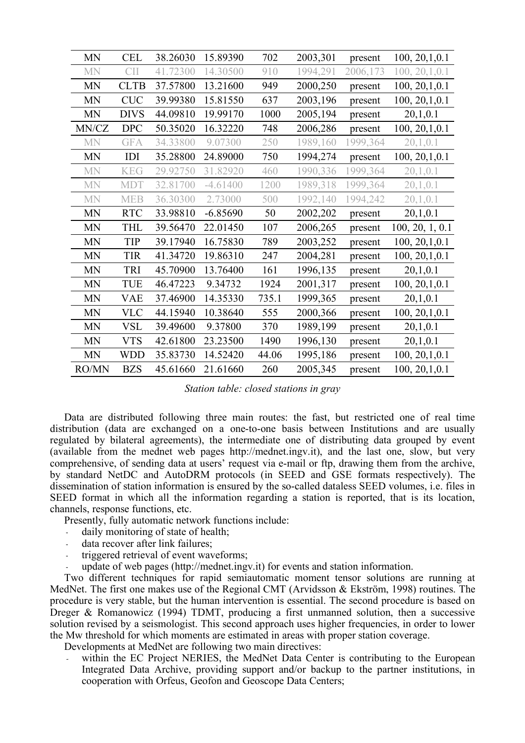| <b>MN</b> | <b>CEL</b>  | 38.26030 | 15.89390   | 702   | 2003,301  | present  | 100, 20, 1, 0.1 |
|-----------|-------------|----------|------------|-------|-----------|----------|-----------------|
| <b>MN</b> | <b>CII</b>  | 41.72300 | 14.30500   | 910   | 1994,291  | 2006,173 | 100, 20, 1, 0.1 |
| <b>MN</b> | <b>CLTB</b> | 37.57800 | 13.21600   | 949   | 2000,250  | present  | 100, 20, 1, 0.1 |
| <b>MN</b> | <b>CUC</b>  | 39.99380 | 15.81550   | 637   | 2003,196  | present  | 100, 20, 1, 0.1 |
| <b>MN</b> | <b>DIVS</b> | 44.09810 | 19.99170   | 1000  | 2005,194  | present  | 20,1,0.1        |
| MN/CZ     | <b>DPC</b>  | 50.35020 | 16.32220   | 748   | 2006,286  | present  | 100, 20, 1, 0.1 |
| <b>MN</b> | <b>GFA</b>  | 34.33800 | 9.07300    | 250   | 1989,160  | 1999,364 | 20,1,0.1        |
| <b>MN</b> | IDI         | 35.28800 | 24.89000   | 750   | 1994,274  | present  | 100, 20, 1, 0.1 |
| <b>MN</b> | <b>KEG</b>  | 29.92750 | 31.82920   | 460   | 1990,336  | 1999,364 | 20,1,0.1        |
| <b>MN</b> | <b>MDT</b>  | 32.81700 | $-4.61400$ | 1200  | 1989,318  | 1999,364 | 20,1,0.1        |
| <b>MN</b> | <b>MEB</b>  | 36.30300 | 2.73000    | 500   | 1992,140  | 1994,242 | 20,1,0.1        |
| <b>MN</b> | <b>RTC</b>  | 33.98810 | $-6.85690$ | 50    | 2002,202  | present  | 20,1,0.1        |
| <b>MN</b> | <b>THL</b>  | 39.56470 | 22.01450   | 107   | 2006,265  | present  | 100, 20, 1, 0.1 |
| <b>MN</b> | <b>TIP</b>  | 39.17940 | 16.75830   | 789   | 2003,252  | present  | 100, 20, 1, 0.1 |
| <b>MN</b> | <b>TIR</b>  | 41.34720 | 19.86310   | 247   | 2004,281  | present  | 100, 20, 1, 0.1 |
| <b>MN</b> | TRI         | 45.70900 | 13.76400   | 161   | 1996,135  | present  | 20,1,0.1        |
| <b>MN</b> | TUE         | 46.47223 | 9.34732    | 1924  | 2001,317  | present  | 100, 20, 1, 0.1 |
| <b>MN</b> | <b>VAE</b>  | 37.46900 | 14.35330   | 735.1 | 1999, 365 | present  | 20,1,0.1        |
| <b>MN</b> | <b>VLC</b>  | 44.15940 | 10.38640   | 555   | 2000,366  | present  | 100, 20, 1, 0.1 |
| <b>MN</b> | <b>VSL</b>  | 39.49600 | 9.37800    | 370   | 1989,199  | present  | 20,1,0.1        |
| <b>MN</b> | <b>VTS</b>  | 42.61800 | 23.23500   | 1490  | 1996,130  | present  | 20,1,0.1        |
| <b>MN</b> | <b>WDD</b>  | 35.83730 | 14.52420   | 44.06 | 1995,186  | present  | 100, 20, 1, 0.1 |
| RO/MN     | <b>BZS</b>  | 45.61660 | 21.61660   | 260   | 2005,345  | present  | 100, 20, 1, 0.1 |

*Station table: closed stations in gray*

Data are distributed following three main routes: the fast, but restricted one of real time distribution (data are exchanged on a one-to-one basis between Institutions and are usually regulated by bilateral agreements), the intermediate one of distributing data grouped by event (available from the mednet web pages http://mednet.ingv.it), and the last one, slow, but very comprehensive, of sending data at users' request via e-mail or ftp, drawing them from the archive, by standard NetDC and AutoDRM protocols (in SEED and GSE formats respectively). The dissemination of station information is ensured by the so-called dataless SEED volumes, i.e. files in SEED format in which all the information regarding a station is reported, that is its location, channels, response functions, etc.

Presently, fully automatic network functions include:

- daily monitoring of state of health;
- data recover after link failures;
- triggered retrieval of event waveforms;
- update of web pages (http://mednet.ingv.it) for events and station information.

Two different techniques for rapid semiautomatic moment tensor solutions are running at MedNet. The first one makes use of the Regional CMT (Arvidsson & Ekström, 1998) routines. The procedure is very stable, but the human intervention is essential. The second procedure is based on Dreger & Romanowicz (1994) TDMT, producing a first unmanned solution, then a successive solution revised by a seismologist. This second approach uses higher frequencies, in order to lower the Mw threshold for which moments are estimated in areas with proper station coverage.

Developments at MedNet are following two main directives:

within the EC Project NERIES, the MedNet Data Center is contributing to the European Integrated Data Archive, providing support and/or backup to the partner institutions, in cooperation with Orfeus, Geofon and Geoscope Data Centers;